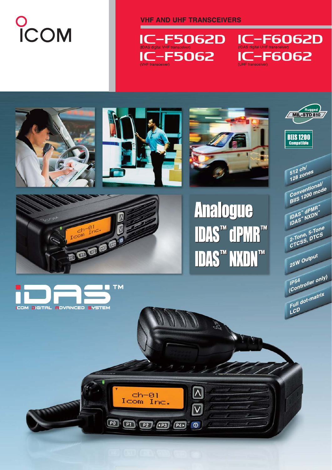# COM

**VHF AND UHF TRANSCEIVERS** 







ICOM DIGITAL ROVANCED SYSTEM







**TM** 

 $ch-01$ 

Inc.

PO P1 P2 4P3 P4) 0

Icom

## **Analogue IDAS™ dPMR™ IDAS™ NXDN™**

 $\overline{\mathsf{N}}$ 

 $\boxed{\mathsf{V}}$ 

**BIIS 1200 Compatible** 

Rugged **AIL-STD 810** 

 $512 ch/$ 128 zones Conventional/<br>Blis 1200 mode

IDAS" dPMR"

2-Tone, 5-Tone

25W Output

 $\frac{|P^{54}|}{|Controller|}$ 

Full dot-matrix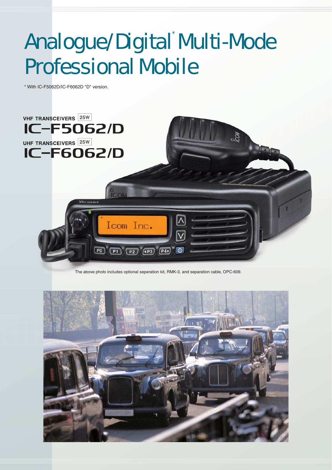## Analogue/Digital Multi-Mode Professional Mobile

\* With IC-F5062D/IC-F6062D "D" version.



The above photo includes optional seperation kit, RMK-3, and separation cable, OPC-609.

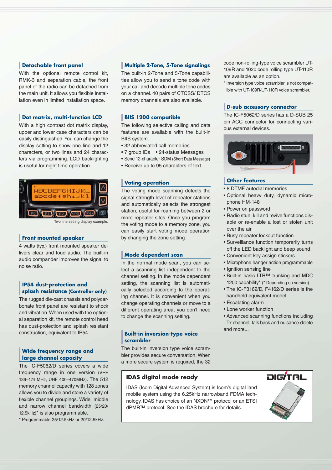#### **Detachable front panel**

With the optional remote control kit, RMK-3 and separation cable, the front panel of the radio can be detached from the main unit. It allows you flexible installation even in limited installation space.

#### **Dot matrix, multi-function LCD**

With a high contrast dot matrix display, upper and lower case characters can be easily distinguished. You can change the display setting to show one line and 12 characters, or two lines and 24 characters via programming. LCD backlighting is useful for night time operation.



Two line setting display example.

#### **Front mounted speaker**

4 watts (typ.) front mounted speaker delivers clear and loud audio. The built-in audio compander improves the signal to noise ratio.

#### **IP54 dust-protection and splash resistance (Controller only)**

The rugged die-cast chassis and polycarbonate front panel are resistant to shock and vibration. When used with the optional separation kit, the remote control head has dust-protection and splash resistant construction, equivalent to IP54.

#### **Wide frequency range and large channel capacity**

The IC-F5062/D series covers a wide frequency range in one version (VHF 136–174 MHz, UHF 400–470MHz). The 512 memory channel capacity with 128 zones allows you to divide and store a variety of flexible channel groupings. Wide, middle and narrow channel bandwidth (25/20/ 12.5kHz)\* is also programmable.

\* Programmable 25/12.5kHz or 20/12.5kHz.

#### **Multiple 2-Tone, 5-Tone signalings**

The built-in 2-Tone and 5-Tone capabilities allow you to send a tone code with your call and decode multiple tone codes on a channel. 40 pairs of CTCSS/ DTCS memory channels are also available.

#### **BIIS 1200 compatible**

The following selective calling and data features are available with the built-in BIIS system.

- 32 abbreviated call memories
- 7 group IDs 24-status Messages
- Send 12-character SDM (Short Data Message)
- Receive up to 95 characters of text

#### **Voting operation**

The voting mode scanning detects the signal strength level of repeater stations and automatically selects the strongest station, useful for roaming between 2 or more repeater sites. Once you program the voting mode to a memory zone, you can easily start voting mode operation by changing the zone setting.

#### **Mode dependent scan**

In the normal mode scan, you can select a scanning list independent to the channel setting. In the mode dependent setting, the scanning list is automatically selected according to the operating channel. It is convenient when you change operating channels or move to a different operating area, you don't need to change the scanning setting.

#### **Built-in inversion-type voice scrambler**

The built-in inversion type voice scrambler provides secure conversation. When a more secure system is required, the 32

#### **IDAS digital mode ready**

IDAS (Icom Digital Advanced System) is Icom's digital land mobile system using the 6.25kHz narrowband FDMA technology. IDAS has choice of an NXDN™ protocol or an ETSI dPMR™ protocol. See the IDAS brochure for details.

code non-rolling-type voice scrambler UT-109R and 1020 code rolling type UT-110R are available as an option.

\* Inversion type voice scrambler is not compatible with UT-109R/UT-110R voice scrambler.

#### **D-sub accessory connector**

The IC-F5062/D series has a D-SUB 25 pin ACC connector for connecting various external devices.



#### **Other features**

- 8 DTMF autodial memories
- Optional heavy duty, dynamic microphone HM-148
- Power on password
- Radio stun, kill and revive functions disable or re-enable a lost or stolen unit over the air
- Busy repeater lockout function
- Surveillance function temporarily turns off the LED backlight and beep sound
- Convenient key assign stickers
- Microphone hanger action programmable
- Ignition sensing line
- Built-in basic LTR™ trunking and MDC 1200 capability\* (\* Depending on version)
- The IC-F3162/D, F4162/D series is the handheld equivalent model
- Escalating alarm
- Lone worker function
- Advanced scanning functions including Tx channel, talk back and nuisance delete and more...